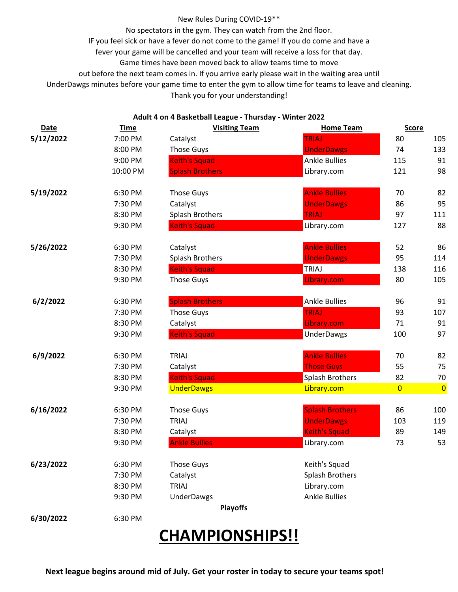#### New Rules During COVID-19\*\*

No spectators in the gym. They can watch from the 2nd floor.

IF you feel sick or have a fever do not come to the game! If you do come and have a

fever your game will be cancelled and your team will receive a loss for that day.

Game times have been moved back to allow teams time to move

out before the next team comes in. If you arrive early please wait in the waiting area until

UnderDawgs minutes before your game time to enter the gym to allow time for teams to leave and cleaning.

Thank you for your understanding!

### **Adult 4 on 4 Basketball League - Thursday - Winter 2022**

| <b>Date</b> | <b>Time</b> | <b>Visiting Team</b>   | <b>Home Team</b>       | <b>Score</b>   |                |
|-------------|-------------|------------------------|------------------------|----------------|----------------|
| 5/12/2022   | 7:00 PM     | Catalyst               | <b>TRIAJ</b>           | 80             | 105            |
|             | 8:00 PM     | <b>Those Guys</b>      | <b>UnderDawgs</b>      | 74             | 133            |
|             | 9:00 PM     | <b>Keith's Squad</b>   | <b>Ankle Bullies</b>   | 115            | 91             |
|             | 10:00 PM    | <b>Splash Brothers</b> | Library.com            | 121            | 98             |
| 5/19/2022   | 6:30 PM     | <b>Those Guys</b>      | <b>Ankle Bullies</b>   | 70             | 82             |
|             | 7:30 PM     | Catalyst               | <b>UnderDawgs</b>      | 86             | 95             |
|             | 8:30 PM     | Splash Brothers        | <b>TRIAJ</b>           | 97             | 111            |
|             | 9:30 PM     | <b>Keith's Squad</b>   | Library.com            | 127            | 88             |
| 5/26/2022   | 6:30 PM     | Catalyst               | <b>Ankle Bullies</b>   | 52             | 86             |
|             | 7:30 PM     | Splash Brothers        | <b>UnderDawgs</b>      | 95             | 114            |
|             | 8:30 PM     | <b>Keith's Squad</b>   | TRIAJ                  | 138            | 116            |
|             | 9:30 PM     | <b>Those Guys</b>      | Library.com            | 80             | 105            |
| 6/2/2022    | 6:30 PM     | <b>Splash Brothers</b> | <b>Ankle Bullies</b>   | 96             | 91             |
|             | 7:30 PM     | <b>Those Guys</b>      | <b>TRIAJ</b>           | 93             | 107            |
|             | 8:30 PM     | Catalyst               | Library.com            | 71             | 91             |
|             | 9:30 PM     | <b>Keith's Squad</b>   | <b>UnderDawgs</b>      | 100            | 97             |
| 6/9/2022    | 6:30 PM     | <b>TRIAJ</b>           | <b>Ankle Bullies</b>   | 70             | 82             |
|             | 7:30 PM     | Catalyst               | <b>Those Guys</b>      | 55             | 75             |
|             | 8:30 PM     | <b>Keith's Squad</b>   | Splash Brothers        | 82             | 70             |
|             | 9:30 PM     | <b>UnderDawgs</b>      | Library.com            | $\overline{0}$ | $\overline{0}$ |
| 6/16/2022   | 6:30 PM     | <b>Those Guys</b>      | <b>Splash Brothers</b> | 86             | 100            |
|             | 7:30 PM     | <b>TRIAJ</b>           | <b>UnderDawgs</b>      | 103            | 119            |
|             | 8:30 PM     | Catalyst               | <b>Keith's Squad</b>   | 89             | 149            |
|             | 9:30 PM     | <b>Ankle Bullies</b>   | Library.com            | 73             | 53             |
| 6/23/2022   | 6:30 PM     | <b>Those Guys</b>      | Keith's Squad          |                |                |
|             | 7:30 PM     | Catalyst               | Splash Brothers        |                |                |
|             | 8:30 PM     | TRIAJ                  | Library.com            |                |                |
|             | 9:30 PM     | <b>UnderDawgs</b>      | <b>Ankle Bullies</b>   |                |                |
|             |             | <b>Playoffs</b>        |                        |                |                |
| 6/30/2022   | 6:30 PM     |                        |                        |                |                |

# **CHAMPIONSHIPS!!**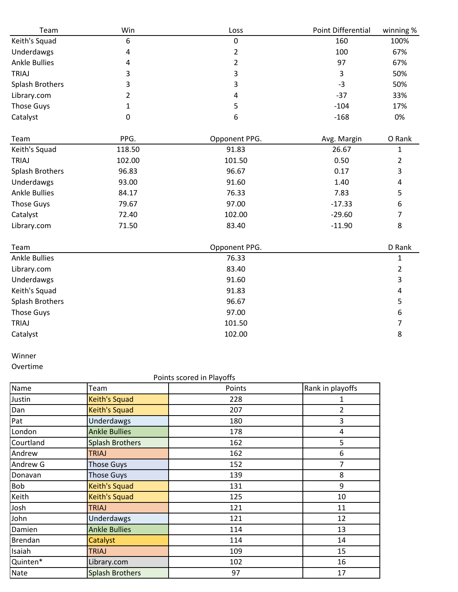| Team                 | Win            | Loss           | Point Differential | winning %      |
|----------------------|----------------|----------------|--------------------|----------------|
| Keith's Squad        | 6              | 0              | 160                | 100%           |
| Underdawgs           | 4              | $\overline{2}$ | 100                | 67%            |
| <b>Ankle Bullies</b> | 4              | $\overline{2}$ | 97                 | 67%            |
| <b>TRIAJ</b>         | 3              | 3              | 3                  | 50%            |
| Splash Brothers      | 3              | 3              | $-3$               | 50%            |
| Library.com          | $\overline{2}$ | 4              | $-37$              | 33%            |
| <b>Those Guys</b>    | 1              | 5              | $-104$             | 17%            |
| Catalyst             | $\mathbf 0$    | 6              | $-168$             | 0%             |
| Team                 | PPG.           | Opponent PPG.  | Avg. Margin        | O Rank         |
| Keith's Squad        | 118.50         | 91.83          | 26.67              | $\mathbf{1}$   |
| TRIAJ                | 102.00         | 101.50         | 0.50               | 2              |
| Splash Brothers      | 96.83          | 96.67          | 0.17               | 3              |
| Underdawgs           | 93.00          | 91.60          | 1.40               | 4              |
| <b>Ankle Bullies</b> | 84.17          | 76.33          | 7.83               | 5              |
| <b>Those Guys</b>    | 79.67          | 97.00          | $-17.33$           | 6              |
| Catalyst             | 72.40          | 102.00         | $-29.60$           | 7              |
| Library.com          | 71.50          | 83.40          | $-11.90$           | 8              |
| Team                 |                | Opponent PPG.  |                    | D Rank         |
| <b>Ankle Bullies</b> |                | 76.33          |                    | $\mathbf{1}$   |
| Library.com          |                | 83.40          |                    | $\overline{2}$ |
| Underdawgs           |                | 91.60          |                    | 3              |
| Keith's Squad        |                | 91.83          |                    | 4              |
| Splash Brothers      |                | 96.67          |                    | 5              |
| <b>Those Guys</b>    |                | 97.00          |                    | 6              |
| <b>TRIAJ</b>         |                | 101.50         |                    | 7              |
| Catalyst             |                | 102.00         |                    | 8              |
|                      |                |                |                    |                |

## Winner

Overtime

### Points scored in Playoffs

| Name        | Team                   | Points | Rank in playoffs |
|-------------|------------------------|--------|------------------|
| Justin      | <b>Keith's Squad</b>   | 228    |                  |
| Dan         | <b>Keith's Squad</b>   | 207    | 2                |
| Pat         | Underdawgs             | 180    | 3                |
| London      | <b>Ankle Bullies</b>   | 178    | 4                |
| Courtland   | <b>Splash Brothers</b> | 162    | 5                |
| Andrew      | <b>TRIAJ</b>           | 162    | 6                |
| Andrew G    | <b>Those Guys</b>      | 152    | 7                |
| Donavan     | <b>Those Guys</b>      | 139    | 8                |
| <b>Bob</b>  | Keith's Squad          | 131    | 9                |
| Keith       | <b>Keith's Squad</b>   | 125    | 10               |
| Josh        | <b>TRIAJ</b>           | 121    | 11               |
| John        | Underdawgs             | 121    | 12               |
| Damien      | <b>Ankle Bullies</b>   | 114    | 13               |
| Brendan     | Catalyst               | 114    | 14               |
| Isaiah      | <b>TRIAJ</b>           | 109    | 15               |
| Quinten*    | Library.com            | 102    | 16               |
| <b>Nate</b> | <b>Splash Brothers</b> | 97     | 17               |